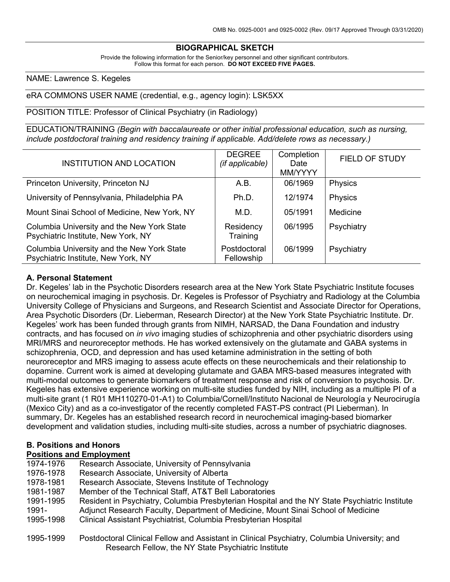# **BIOGRAPHICAL SKETCH**

Provide the following information for the Senior/key personnel and other significant contributors. Follow this format for each person. **DO NOT EXCEED FIVE PAGES.**

NAME: Lawrence S. Kegeles

#### eRA COMMONS USER NAME (credential, e.g., agency login): LSK5XX

POSITION TITLE: Professor of Clinical Psychiatry (in Radiology)

EDUCATION/TRAINING *(Begin with baccalaureate or other initial professional education, such as nursing, include postdoctoral training and residency training if applicable. Add/delete rows as necessary.)*

| INSTITUTION AND LOCATION                                                          | <b>DEGREE</b><br>(if applicable) | Completion<br>Date<br>MM/YYYY | <b>FIELD OF STUDY</b> |
|-----------------------------------------------------------------------------------|----------------------------------|-------------------------------|-----------------------|
| Princeton University, Princeton NJ                                                | A.B.                             | 06/1969                       | <b>Physics</b>        |
| University of Pennsylvania, Philadelphia PA                                       | Ph.D.                            | 12/1974                       | Physics               |
| Mount Sinai School of Medicine, New York, NY                                      | M.D.                             | 05/1991                       | Medicine              |
| Columbia University and the New York State<br>Psychiatric Institute, New York, NY | Residency<br>Training            | 06/1995                       | Psychiatry            |
| Columbia University and the New York State<br>Psychiatric Institute, New York, NY | Postdoctoral<br>Fellowship       | 06/1999                       | Psychiatry            |

#### **A. Personal Statement**

Dr. Kegeles' lab in the Psychotic Disorders research area at the New York State Psychiatric Institute focuses on neurochemical imaging in psychosis. Dr. Kegeles is Professor of Psychiatry and Radiology at the Columbia University College of Physicians and Surgeons, and Research Scientist and Associate Director for Operations, Area Psychotic Disorders (Dr. Lieberman, Research Director) at the New York State Psychiatric Institute. Dr. Kegeles' work has been funded through grants from NIMH, NARSAD, the Dana Foundation and industry contracts, and has focused on *in vivo* imaging studies of schizophrenia and other psychiatric disorders using MRI/MRS and neuroreceptor methods. He has worked extensively on the glutamate and GABA systems in schizophrenia, OCD, and depression and has used ketamine administration in the setting of both neuroreceptor and MRS imaging to assess acute effects on these neurochemicals and their relationship to dopamine. Current work is aimed at developing glutamate and GABA MRS-based measures integrated with multi-modal outcomes to generate biomarkers of treatment response and risk of conversion to psychosis. Dr. Kegeles has extensive experience working on multi-site studies funded by NIH, including as a multiple PI of a multi-site grant (1 R01 MH110270-01-A1) to Columbia/Cornell/Instituto Nacional de Neurología y Neurocirugía (Mexico City) and as a co-investigator of the recently completed FAST-PS contract (PI Lieberman). In summary, Dr. Kegeles has an established research record in neurochemical imaging-based biomarker development and validation studies, including multi-site studies, across a number of psychiatric diagnoses.

#### **B. Positions and Honors**

### **Positions and Employment**

| 1974-1976 | Research Associate, University of Pennsylvania                                                |
|-----------|-----------------------------------------------------------------------------------------------|
| 1976-1978 | Research Associate, University of Alberta                                                     |
| 1978-1981 | Research Associate, Stevens Institute of Technology                                           |
| 1981-1987 | Member of the Technical Staff, AT&T Bell Laboratories                                         |
| 1991-1995 | Resident in Psychiatry, Columbia Presbyterian Hospital and the NY State Psychiatric Institute |
| 1991-     | Adjunct Research Faculty, Department of Medicine, Mount Sinai School of Medicine              |
| 1995-1998 | Clinical Assistant Psychiatrist, Columbia Presbyterian Hospital                               |
| 1995-1999 | Postdoctoral Clinical Fellow and Assistant in Clinical Psychiatry, Columbia University; and   |
|           | Research Fellow, the NY State Psychiatric Institute                                           |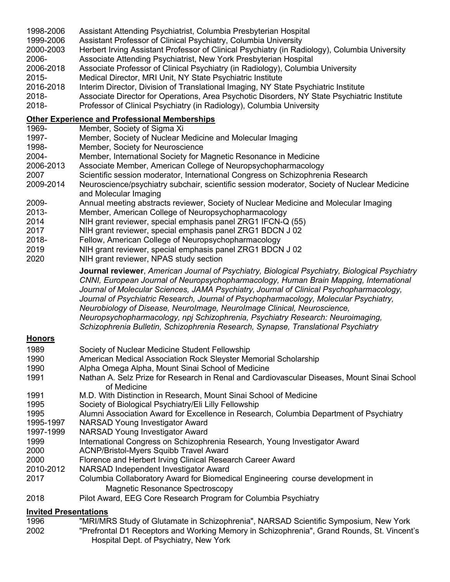- 1998-2006 Assistant Attending Psychiatrist, Columbia Presbyterian Hospital
- 1999-2006 Assistant Professor of Clinical Psychiatry, Columbia University
- 2000-2003 Herbert Irving Assistant Professor of Clinical Psychiatry (in Radiology), Columbia University 2006- Associate Attending Psychiatrist, New York Presbyterian Hospital
- 2006-2018 Associate Professor of Clinical Psychiatry (in Radiology), Columbia University
- 2015- Medical Director, MRI Unit, NY State Psychiatric Institute
- 2016-2018 Interim Director, Division of Translational Imaging, NY State Psychiatric Institute
- 2018- Associate Director for Operations, Area Psychotic Disorders, NY State Psychiatric Institute
- 2018- Professor of Clinical Psychiatry (in Radiology), Columbia University

# **Other Experience and Professional Memberships**

- 1969- Member, Society of Sigma Xi
- 1997- Member, Society of Nuclear Medicine and Molecular Imaging
- 1998- Member, Society for Neuroscience
- 2004- Member, International Society for Magnetic Resonance in Medicine
- 2006-2013 Associate Member, American College of Neuropsychopharmacology
- 2007 Scientific session moderator, International Congress on Schizophrenia Research
- 2009-2014 Neuroscience/psychiatry subchair, scientific session moderator, Society of Nuclear Medicine and Molecular Imaging
- 2009- Annual meeting abstracts reviewer, Society of Nuclear Medicine and Molecular Imaging
- 2013- Member, American College of Neuropsychopharmacology
- 2014 NIH grant reviewer, special emphasis panel ZRG1 IFCN-Q (55)
- 2017 NIH grant reviewer, special emphasis panel ZRG1 BDCN J 02
- 2018- Fellow, American College of Neuropsychopharmacology
- 2019 NIH grant reviewer, special emphasis panel ZRG1 BDCN J 02
- 2020 NIH grant reviewer, NPAS study section

**Journal reviewer**, *American Journal of Psychiatry, Biological Psychiatry, Biological Psychiatry CNNI, European Journal of Neuropsychopharmacology, Human Brain Mapping, International Journal of Molecular Sciences, JAMA Psychiatry, Journal of Clinical Psychopharmacology, Journal of Psychiatric Research, Journal of Psychopharmacology, Molecular Psychiatry, Neurobiology of Disease, NeuroImage, NeuroImage Clinical, Neuroscience, Neuropsychopharmacology, npj Schizophrenia, Psychiatry Research: Neuroimaging, Schizophrenia Bulletin, Schizophrenia Research, Synapse, Translational Psychiatry*

# **Honors**

- 1989 Society of Nuclear Medicine Student Fellowship 1990 American Medical Association Rock Sleyster Memorial Scholarship 1990 Alpha Omega Alpha, Mount Sinai School of Medicine 1991 Nathan A. Selz Prize for Research in Renal and Cardiovascular Diseases, Mount Sinai School of Medicine 1991 M.D. With Distinction in Research, Mount Sinai School of Medicine 1995 Society of Biological Psychiatry/Eli Lilly Fellowship 1995 Alumni Association Award for Excellence in Research, Columbia Department of Psychiatry 1995-1997 NARSAD Young Investigator Award 1997-1999 NARSAD Young Investigator Award 1999 International Congress on Schizophrenia Research, Young Investigator Award 2000 ACNP/Bristol-Myers Squibb Travel Award 2000 Florence and Herbert Irving Clinical Research Career Award 2010-2012 NARSAD Independent Investigator Award 2017 Columbia Collaboratory Award for Biomedical Engineering course development in
	- Magnetic Resonance Spectroscopy
- 2018 Pilot Award, EEG Core Research Program for Columbia Psychiatry

# **Invited Presentations**

- 1996 "MRI/MRS Study of Glutamate in Schizophrenia", NARSAD Scientific Symposium, New York
- 2002 "Prefrontal D1 Receptors and Working Memory in Schizophrenia", Grand Rounds, St. Vincent's Hospital Dept. of Psychiatry, New York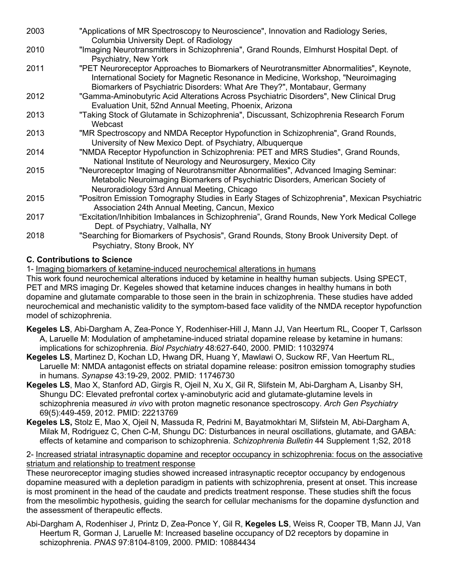| 2003 | "Applications of MR Spectroscopy to Neuroscience", Innovation and Radiology Series,<br>Columbia University Dept. of Radiology                                                                                                                             |
|------|-----------------------------------------------------------------------------------------------------------------------------------------------------------------------------------------------------------------------------------------------------------|
| 2010 | "Imaging Neurotransmitters in Schizophrenia", Grand Rounds, Elmhurst Hospital Dept. of<br>Psychiatry, New York                                                                                                                                            |
| 2011 | "PET Neuroreceptor Approaches to Biomarkers of Neurotransmitter Abnormalities", Keynote,<br>International Society for Magnetic Resonance in Medicine, Workshop, "Neuroimaging<br>Biomarkers of Psychiatric Disorders: What Are They?", Montabaur, Germany |
| 2012 | "Gamma-Aminobutyric Acid Alterations Across Psychiatric Disorders", New Clinical Drug<br>Evaluation Unit, 52nd Annual Meeting, Phoenix, Arizona                                                                                                           |
| 2013 | "Taking Stock of Glutamate in Schizophrenia", Discussant, Schizophrenia Research Forum<br>Webcast                                                                                                                                                         |
| 2013 | "MR Spectroscopy and NMDA Receptor Hypofunction in Schizophrenia", Grand Rounds,<br>University of New Mexico Dept. of Psychiatry, Albuquerque                                                                                                             |
| 2014 | "NMDA Receptor Hypofunction in Schizophrenia: PET and MRS Studies", Grand Rounds,<br>National Institute of Neurology and Neurosurgery, Mexico City                                                                                                        |
| 2015 | "Neuroreceptor Imaging of Neurotransmitter Abnormalities", Advanced Imaging Seminar:<br>Metabolic Neuroimaging Biomarkers of Psychiatric Disorders, American Society of<br>Neuroradiology 53rd Annual Meeting, Chicago                                    |
| 2015 | "Positron Emission Tomography Studies in Early Stages of Schizophrenia", Mexican Psychiatric<br>Association 24th Annual Meeting, Cancun, Mexico                                                                                                           |
| 2017 | "Excitation/Inhibition Imbalances in Schizophrenia", Grand Rounds, New York Medical College<br>Dept. of Psychiatry, Valhalla, NY                                                                                                                          |
| 2018 | "Searching for Biomarkers of Psychosis", Grand Rounds, Stony Brook University Dept. of<br>Psychiatry, Stony Brook, NY                                                                                                                                     |

# **C. Contributions to Science**

1- Imaging biomarkers of ketamine-induced neurochemical alterations in humans

This work found neurochemical alterations induced by ketamine in healthy human subjects. Using SPECT, PET and MRS imaging Dr. Kegeles showed that ketamine induces changes in healthy humans in both dopamine and glutamate comparable to those seen in the brain in schizophrenia. These studies have added neurochemical and mechanistic validity to the symptom-based face validity of the NMDA receptor hypofunction model of schizophrenia.

- **Kegeles LS**, Abi-Dargham A, Zea-Ponce Y, Rodenhiser-Hill J, Mann JJ, Van Heertum RL, Cooper T, Carlsson A, Laruelle M: Modulation of amphetamine-induced striatal dopamine release by ketamine in humans: implications for schizophrenia. *Biol Psychiatry* 48:627-640, 2000. PMID: 11032974
- **Kegeles LS**, Martinez D, Kochan LD, Hwang DR, Huang Y, Mawlawi O, Suckow RF, Van Heertum RL, Laruelle M: NMDA antagonist effects on striatal dopamine release: positron emission tomography studies in humans. *Synapse* 43:19-29, 2002. PMID: 11746730
- **Kegeles LS**, Mao X, Stanford AD, Girgis R, Ojeil N, Xu X, Gil R, Slifstein M, Abi-Dargham A, Lisanby SH, Shungu DC: Elevated prefrontal cortex γ-aminobutyric acid and glutamate-glutamine levels in schizophrenia measured *in vivo* with proton magnetic resonance spectroscopy. *Arch Gen Psychiatry* 69(5):449-459, 2012. PMID: 22213769
- **Kegeles LS,** Stolz E, Mao X, Ojeil N, Massuda R, Pedrini M, Bayatmokhtari M, Slifstein M, Abi-Dargham A, Milak M, Rodriguez C, Chen C-M, Shungu DC: Disturbances in neural oscillations, glutamate, and GABA: effects of ketamine and comparison to schizophrenia. *Schizophrenia Bulletin* 44 Supplement 1;S2, 2018

## 2- Increased striatal intrasynaptic dopamine and receptor occupancy in schizophrenia: focus on the associative striatum and relationship to treatment response

These neuroreceptor imaging studies showed increased intrasynaptic receptor occupancy by endogenous dopamine measured with a depletion paradigm in patients with schizophrenia, present at onset. This increase is most prominent in the head of the caudate and predicts treatment response. These studies shift the focus from the mesolimbic hypothesis, guiding the search for cellular mechanisms for the dopamine dysfunction and the assessment of therapeutic effects.

Abi-Dargham A, Rodenhiser J, Printz D, Zea-Ponce Y, Gil R, **Kegeles LS**, Weiss R, Cooper TB, Mann JJ, Van Heertum R, Gorman J, Laruelle M: Increased baseline occupancy of D2 receptors by dopamine in schizophrenia. *PNAS* 97:8104-8109, 2000. PMID: 10884434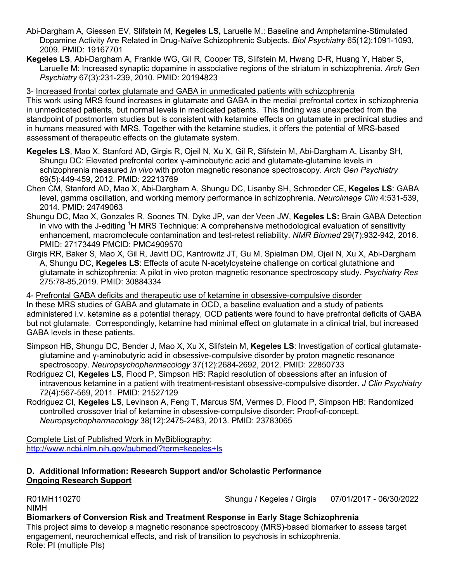- Abi-Dargham A, Giessen EV, Slifstein M, **Kegeles LS,** Laruelle M.: Baseline and Amphetamine-Stimulated Dopamine Activity Are Related in Drug-Naïve Schizophrenic Subjects. *Biol Psychiatry* 65(12):1091-1093, 2009. PMID: 19167701
- **Kegeles LS**, Abi-Dargham A, Frankle WG, Gil R, Cooper TB, Slifstein M, Hwang D-R, Huang Y, Haber S, Laruelle M: Increased synaptic dopamine in associative regions of the striatum in schizophrenia. *Arch Gen Psychiatry* 67(3):231-239, 2010. PMID: 20194823

3- Increased frontal cortex glutamate and GABA in unmedicated patients with schizophrenia

This work using MRS found increases in glutamate and GABA in the medial prefrontal cortex in schizophrenia in unmedicated patients, but normal levels in medicated patients. This finding was unexpected from the standpoint of postmortem studies but is consistent with ketamine effects on glutamate in preclinical studies and in humans measured with MRS. Together with the ketamine studies, it offers the potential of MRS-based assessment of therapeutic effects on the glutamate system.

- **Kegeles LS**, Mao X, Stanford AD, Girgis R, Ojeil N, Xu X, Gil R, Slifstein M, Abi-Dargham A, Lisanby SH, Shungu DC: Elevated prefrontal cortex γ-aminobutyric acid and glutamate-glutamine levels in schizophrenia measured *in vivo* with proton magnetic resonance spectroscopy. *Arch Gen Psychiatry* 69(5):449-459, 2012. PMID: 22213769
- Chen CM, Stanford AD, Mao X, Abi-Dargham A, Shungu DC, Lisanby SH, Schroeder CE, **Kegeles LS**: GABA level, gamma oscillation, and working memory performance in schizophrenia. *Neuroimage Clin* 4:531-539, 2014. PMID: 24749063
- Shungu DC, Mao X, Gonzales R, Soones TN, Dyke JP, van der Veen JW, **Kegeles LS:** Brain GABA Detection in vivo with the J-editing <sup>1</sup>H MRS Technique: A comprehensive methodological evaluation of sensitivity enhancement, macromolecule contamination and test-retest reliability. *NMR Biomed* 29(7):932-942, 2016. PMID: 27173449 PMCID: PMC4909570
- Girgis RR, Baker S, Mao X, Gil R, Javitt DC, Kantrowitz JT, Gu M, Spielman DM, Ojeil N, Xu X, Abi-Dargham A, Shungu DC, **Kegeles LS**: Effects of acute N-acetylcysteine challenge on cortical glutathione and glutamate in schizophrenia: A pilot in vivo proton magnetic resonance spectroscopy study. *Psychiatry Res* 275:78-85,2019. PMID: 30884334

4- Prefrontal GABA deficits and therapeutic use of ketamine in obsessive-compulsive disorder In these MRS studies of GABA and glutamate in OCD, a baseline evaluation and a study of patients administered i.v. ketamine as a potential therapy, OCD patients were found to have prefrontal deficits of GABA but not glutamate. Correspondingly, ketamine had minimal effect on glutamate in a clinical trial, but increased GABA levels in these patients.

- Simpson HB, Shungu DC, Bender J, Mao X, Xu X, Slifstein M, **Kegeles LS**: Investigation of cortical glutamateglutamine and γ-aminobutyric acid in obsessive-compulsive disorder by proton magnetic resonance spectroscopy. *Neuropsychopharmacology* 37(12):2684-2692, 2012. PMID: 22850733
- Rodriguez CI, **Kegeles LS**, Flood P, Simpson HB: Rapid resolution of obsessions after an infusion of intravenous ketamine in a patient with treatment-resistant obsessive-compulsive disorder. *J Clin Psychiatry*  72(4):567-569, 2011. PMID: 21527129
- Rodriguez CI, **Kegeles LS**, Levinson A, Feng T, Marcus SM, Vermes D, Flood P, Simpson HB: Randomized controlled crossover trial of ketamine in obsessive-compulsive disorder: Proof-of-concept. *Neuropsychopharmacology* 38(12):2475-2483, 2013. PMID: 23783065

Complete List of Published Work in MyBibliography: http://www.ncbi.nlm.nih.gov/pubmed/?term=kegeles+ls

## **D. Additional Information: Research Support and/or Scholastic Performance Ongoing Research Support**

NIMH

R01MH110270 Shungu / Kegeles / Girgis 07/01/2017 - 06/30/2022

# **Biomarkers of Conversion Risk and Treatment Response in Early Stage Schizophrenia**

This project aims to develop a magnetic resonance spectroscopy (MRS)-based biomarker to assess target engagement, neurochemical effects, and risk of transition to psychosis in schizophrenia. Role: PI (multiple PIs)